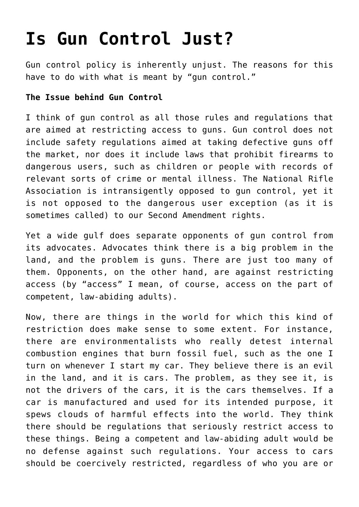## **[Is Gun Control Just?](https://intellectualtakeout.org/2017/05/is-gun-control-just/)**

Gun control policy is inherently unjust. The reasons for this have to do with what is meant by "gun control."

## **The Issue behind Gun Control**

I think of gun control as all those rules and regulations that are aimed at restricting access to guns. Gun control does not include safety regulations aimed at taking defective guns off the market, nor does it include laws that prohibit firearms to dangerous users, such as children or people with records of relevant sorts of crime or mental illness. The National Rifle Association is intransigently opposed to gun control, yet it is not opposed to the dangerous user exception (as it is sometimes called) to our Second Amendment rights.

Yet a wide gulf does separate opponents of gun control from its advocates. Advocates think there is a big problem in the land, and the problem is guns. There are just too many of them. Opponents, on the other hand, are against restricting access (by "access" I mean, of course, access on the part of competent, law-abiding adults).

Now, there are things in the world for which this kind of restriction does make sense to some extent. For instance, there are environmentalists who really detest internal combustion engines that burn fossil fuel, such as the one I turn on whenever I start my car. They believe there is an evil in the land, and it is cars. The problem, as they see it, is not the drivers of the cars, it is the cars themselves. If a car is manufactured and used for its intended purpose, it spews clouds of harmful effects into the world. They think there should be regulations that seriously restrict access to these things. Being a competent and law-abiding adult would be no defense against such regulations. Your access to cars should be coercively restricted, regardless of who you are or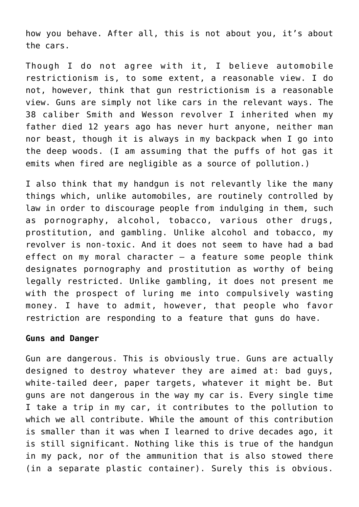how you behave. After all, this is not about you, it's about the cars.

Though I do not agree with it, I believe automobile restrictionism is, to some extent, a reasonable view. I do not, however, think that gun restrictionism is a reasonable view. Guns are simply not like cars in the relevant ways. The 38 caliber Smith and Wesson revolver I inherited when my father died 12 years ago has never hurt anyone, neither man nor beast, though it is always in my backpack when I go into the deep woods. (I am assuming that the puffs of hot gas it emits when fired are negligible as a source of pollution.)

I also think that my handgun is not relevantly like the many things which, unlike automobiles, are routinely controlled by law in order to discourage people from indulging in them, such as pornography, alcohol, tobacco, various other drugs, prostitution, and gambling. Unlike alcohol and tobacco, my revolver is non-toxic. And it does not seem to have had a bad effect on my moral character  $-$  a feature some people think designates pornography and prostitution as worthy of being legally restricted. Unlike gambling, it does not present me with the prospect of luring me into compulsively wasting money. I have to admit, however, that people who favor restriction are responding to a feature that guns do have.

## **Guns and Danger**

Gun are dangerous. This is obviously true. Guns are actually designed to destroy whatever they are aimed at: bad guys, white-tailed deer, paper targets, whatever it might be. But guns are not dangerous in the way my car is. Every single time I take a trip in my car, it contributes to the pollution to which we all contribute. While the amount of this contribution is smaller than it was when I learned to drive decades ago, it is still significant. Nothing like this is true of the handgun in my pack, nor of the ammunition that is also stowed there (in a separate plastic container). Surely this is obvious.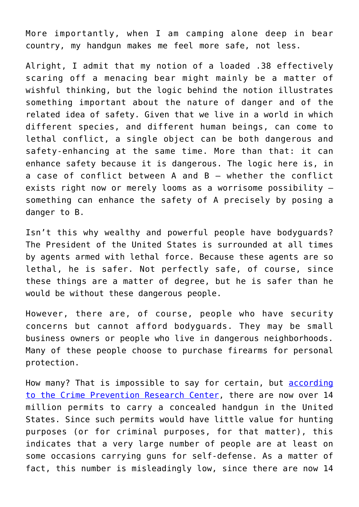More importantly, when I am camping alone deep in bear country, my handgun makes me feel more safe, not less.

Alright, I admit that my notion of a loaded .38 effectively scaring off a menacing bear might mainly be a matter of wishful thinking, but the logic behind the notion illustrates something important about the nature of danger and of the related idea of safety. Given that we live in a world in which different species, and different human beings, can come to lethal conflict, a single object can be both dangerous and safety-enhancing at the same time. More than that: it can enhance safety because it is dangerous. The logic here is, in a case of conflict between A and B – whether the conflict exists right now or merely looms as a worrisome possibility – something can enhance the safety of A precisely by posing a danger to B.

Isn't this why wealthy and powerful people have bodyguards? The President of the United States is surrounded at all times by agents armed with lethal force. Because these agents are so lethal, he is safer. Not perfectly safe, of course, since these things are a matter of degree, but he is safer than he would be without these dangerous people.

However, there are, of course, people who have security concerns but cannot afford bodyguards. They may be small business owners or people who live in dangerous neighborhoods. Many of these people choose to purchase firearms for personal protection.

How many? That is impossible to say for certain, but **[according](http://crimeresearch.org/2016/07/new-study-14-5-million-concealed-handgun-permits-last-year-saw-largest-increase-ever-number-permits/)** [to the Crime Prevention Research Center](http://crimeresearch.org/2016/07/new-study-14-5-million-concealed-handgun-permits-last-year-saw-largest-increase-ever-number-permits/), there are now over 14 million permits to carry a concealed handgun in the United States. Since such permits would have little value for hunting purposes (or for criminal purposes, for that matter), this indicates that a very large number of people are at least on some occasions carrying guns for self-defense. As a matter of fact, this number is misleadingly low, since there are now 14